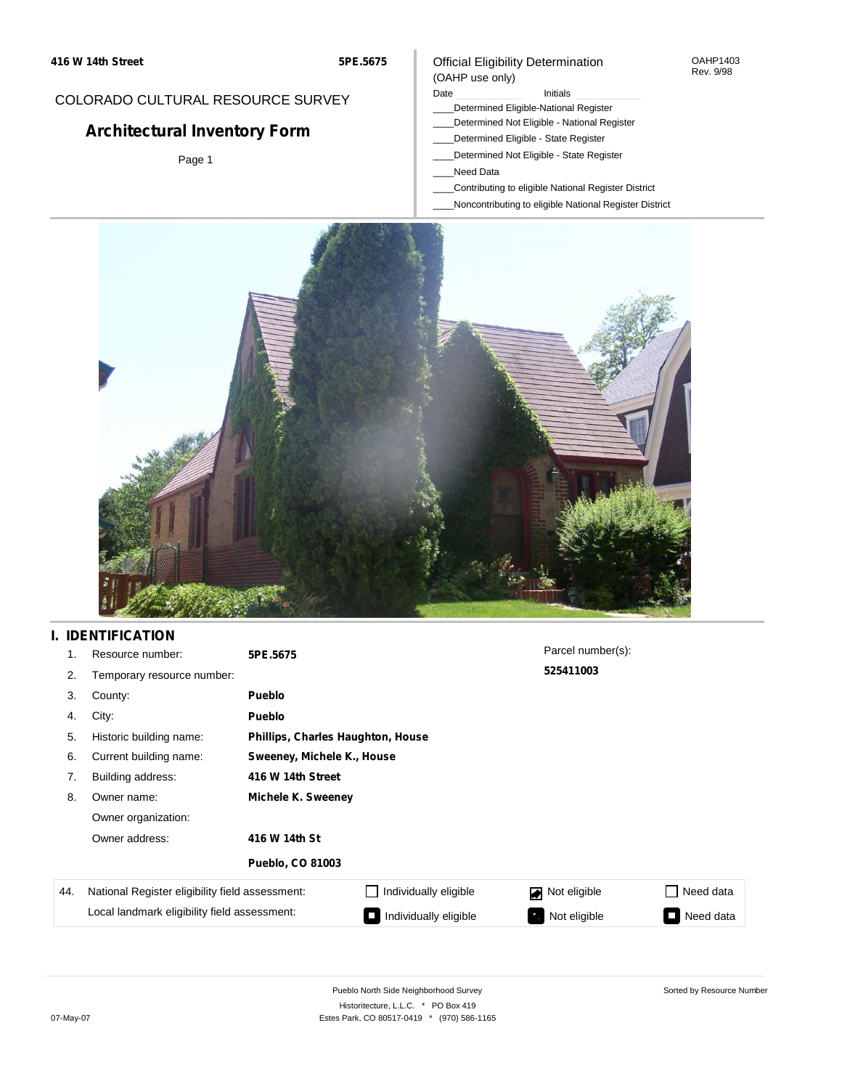## COLORADO CULTURAL RESOURCE SURVEY

# **Architectural Inventory Form**

Page 1

#### Official Eligibility Determination (OAHP use only)

#### Date **Initials** Initials

- \_\_\_\_Determined Eligible-National Register
- \_\_\_\_Determined Not Eligible National Register
- \_\_\_\_Determined Eligible State Register
- \_\_\_\_Determined Not Eligible State Register
- \_\_\_\_Need Data
- \_\_\_\_Contributing to eligible National Register District
- \_\_\_\_Noncontributing to eligible National Register District



## **I. IDENTIFICATION**

| 1.  | Resource number:                                | 5PE.5675                  |                                   | Parcel number(s): |           |  |  |  |
|-----|-------------------------------------------------|---------------------------|-----------------------------------|-------------------|-----------|--|--|--|
| 2.  | Temporary resource number:                      |                           |                                   | 525411003         |           |  |  |  |
| 3.  | County:                                         | <b>Pueblo</b>             |                                   |                   |           |  |  |  |
| 4.  | City:                                           | <b>Pueblo</b>             |                                   |                   |           |  |  |  |
| 5.  | Historic building name:                         |                           | Phillips, Charles Haughton, House |                   |           |  |  |  |
| 6.  | Current building name:                          |                           | Sweeney, Michele K., House        |                   |           |  |  |  |
| 7.  | Building address:                               | 416 W 14th Street         |                                   |                   |           |  |  |  |
| 8.  | Owner name:                                     | <b>Michele K. Sweeney</b> |                                   |                   |           |  |  |  |
|     | Owner organization:                             |                           |                                   |                   |           |  |  |  |
|     | Owner address:                                  | 416 W 14th St             |                                   |                   |           |  |  |  |
|     |                                                 | <b>Pueblo, CO 81003</b>   |                                   |                   |           |  |  |  |
| 44. | National Register eligibility field assessment: |                           | Individually eligible             | Not eligible<br>◪ | Need data |  |  |  |
|     | Local landmark eligibility field assessment:    |                           | Individually eligible             | Not eligible      | Need data |  |  |  |

OAHP1403 Rev. 9/98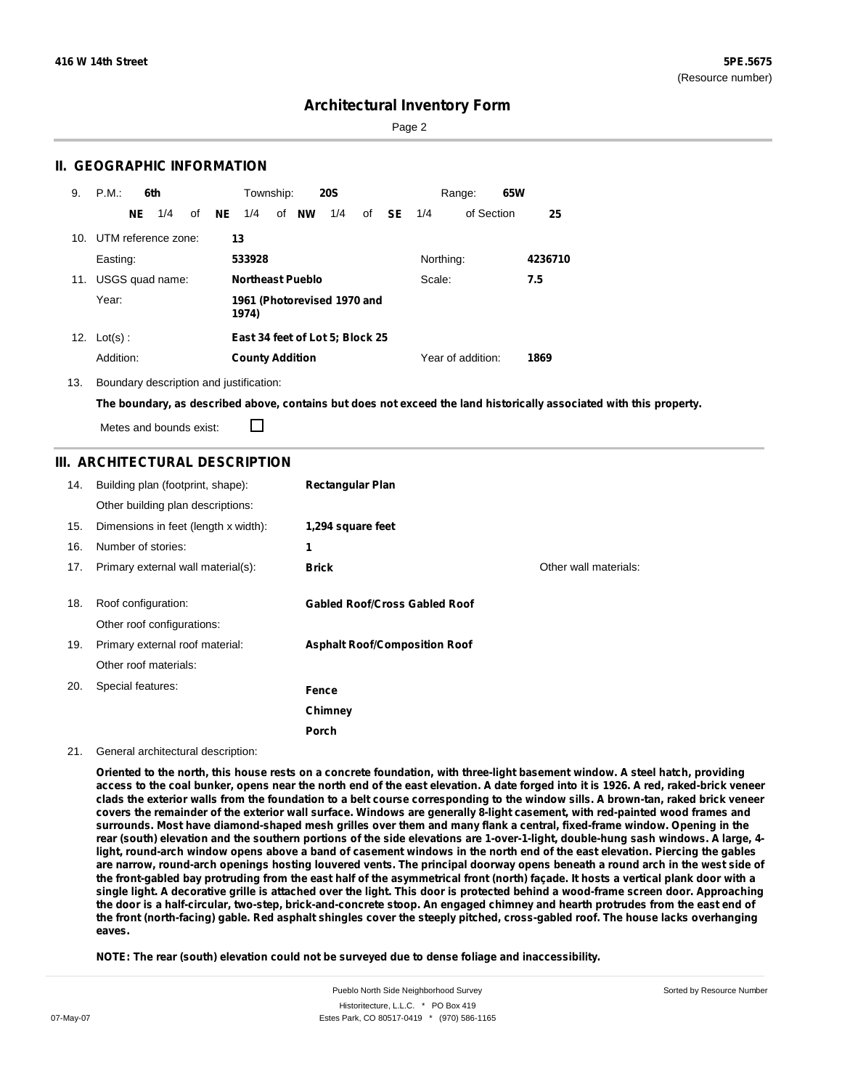Page 2

#### **II. GEOGRAPHIC INFORMATION**

| 9.  | P.M.                                          |    | 6th |    |    | Township:              |                  | <b>20S</b>                      |    |           |           | Range:            | 65W |         |
|-----|-----------------------------------------------|----|-----|----|----|------------------------|------------------|---------------------------------|----|-----------|-----------|-------------------|-----|---------|
|     |                                               | NE | 1/4 | of | NE | 1/4                    | of NW            | 1/4                             | of | <b>SE</b> | 1/4       | of Section        |     | 25      |
| 10. | UTM reference zone:                           |    |     |    |    | 13                     |                  |                                 |    |           |           |                   |     |         |
|     | Easting:                                      |    |     |    |    | 533928                 |                  |                                 |    |           | Northing: |                   |     | 4236710 |
| 11. | USGS quad name:                               |    |     |    |    |                        | Northeast Pueblo |                                 |    |           | Scale:    |                   |     | 7.5     |
|     | Year:<br>1961 (Photorevised 1970 and<br>1974) |    |     |    |    |                        |                  |                                 |    |           |           |                   |     |         |
| 12. | $Lot(s)$ :                                    |    |     |    |    |                        |                  | East 34 feet of Lot 5; Block 25 |    |           |           |                   |     |         |
|     | Addition:                                     |    |     |    |    | <b>County Addition</b> |                  |                                 |    |           |           | Year of addition: |     | 1869    |

13. Boundary description and justification:

The boundary, as described above, contains but does not exceed the land historically associated with this property.

Metes and bounds exist:

П

#### **III. ARCHITECTURAL DESCRIPTION**

| 14. | Building plan (footprint, shape):<br>Other building plan descriptions: | <b>Rectangular Plan</b>              |                       |
|-----|------------------------------------------------------------------------|--------------------------------------|-----------------------|
| 15. | Dimensions in feet (length x width):                                   | 1,294 square feet                    |                       |
| 16. | Number of stories:                                                     | 1                                    |                       |
| 17. | Primary external wall material(s):                                     | <b>Brick</b>                         | Other wall materials: |
| 18. | Roof configuration:<br>Other roof configurations:                      | <b>Gabled Roof/Cross Gabled Roof</b> |                       |
| 19. | Primary external roof material:                                        | <b>Asphalt Roof/Composition Roof</b> |                       |
|     | Other roof materials:                                                  |                                      |                       |
| 20. | Special features:                                                      | Fence                                |                       |
|     |                                                                        | Chimney                              |                       |
|     |                                                                        | Porch                                |                       |

#### 21. General architectural description:

Oriented to the north, this house rests on a concrete foundation, with three-light basement window. A steel hatch, providing access to the coal bunker, opens near the north end of the east elevation. A date forged into it is 1926. A red, raked-brick veneer clads the exterior walls from the foundation to a belt course corresponding to the window sills. A brown-tan, raked brick veneer covers the remainder of the exterior wall surface. Windows are generally 8-light casement, with red-painted wood frames and surrounds. Most have diamond-shaped mesh grilles over them and many flank a central, fixed-frame window. Opening in the rear (south) elevation and the southern portions of the side elevations are 1-over-1-light, double-hung sash windows. A large, 4light, round-arch window opens above a band of casement windows in the north end of the east elevation. Piercing the gables are narrow, round-arch openings hosting louvered vents. The principal doorway opens beneath a round arch in the west side of the front-gabled bay protruding from the east half of the asymmetrical front (north) façade. It hosts a vertical plank door with a single light. A decorative grille is attached over the light. This door is protected behind a wood-frame screen door. Approaching the door is a half-circular, two-step, brick-and-concrete stoop. An engaged chimney and hearth protrudes from the east end of the front (north-facing) gable. Red asphalt shingles cover the steeply pitched, cross-gabled roof. The house lacks overhanging **eaves.**

**NOTE: The rear (south) elevation could not be surveyed due to dense foliage and inaccessibility.**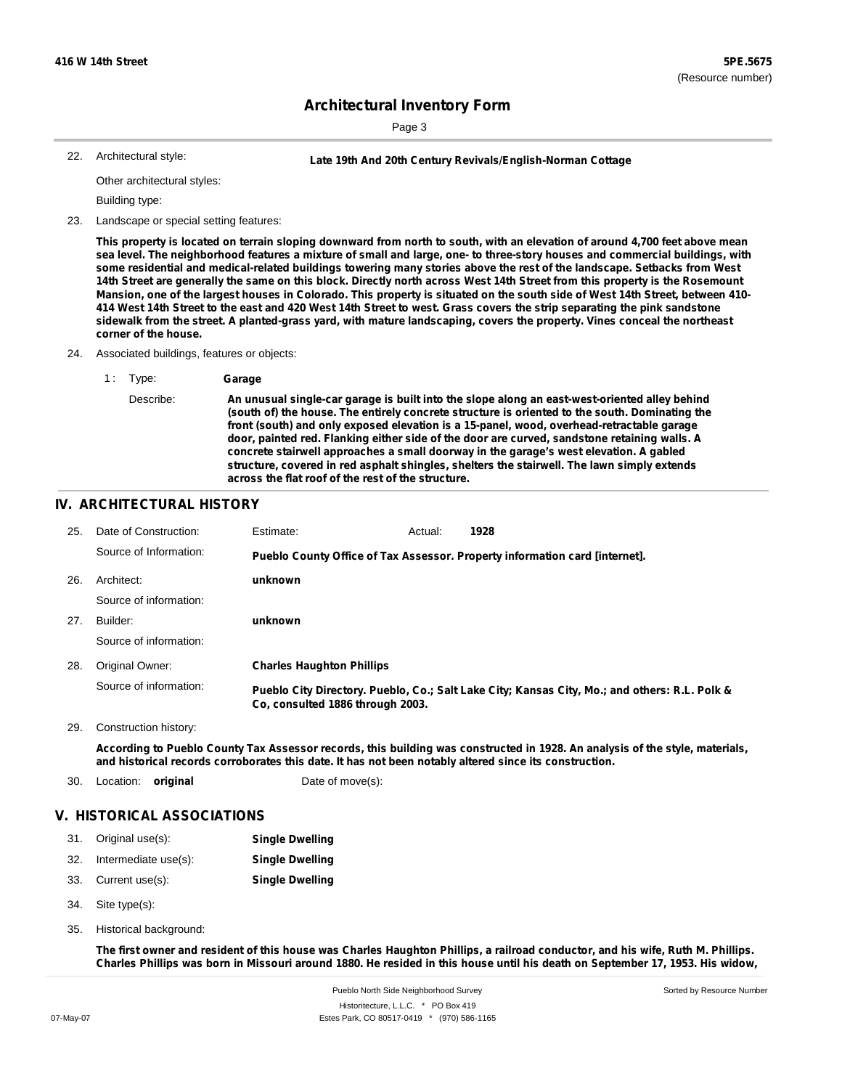Page 3

Architectural style:

22. **Late 19th And 20th Century Revivals/English-Norman Cottage**

Other architectural styles:

Building type:

23. Landscape or special setting features:

This property is located on terrain sloping downward from north to south, with an elevation of around 4,700 feet above mean sea level. The neighborhood features a mixture of small and large, one- to three-story houses and commercial buildings, with some residential and medical-related buildings towering many stories above the rest of the landscape. Setbacks from West 14th Street are generally the same on this block. Directly north across West 14th Street from this property is the Rosemount Mansion, one of the largest houses in Colorado. This property is situated on the south side of West 14th Street, between 410-414 West 14th Street to the east and 420 West 14th Street to west. Grass covers the strip separating the pink sandstone sidewalk from the street. A planted-grass yard, with mature landscaping, covers the property. Vines conceal the northeast **corner of the house.**

24. Associated buildings, features or objects:

| 1: Type:  | Garage                                                                                                                                                                                                                                                                                                                                                                                                                                                                                                                                                                                                                                      |
|-----------|---------------------------------------------------------------------------------------------------------------------------------------------------------------------------------------------------------------------------------------------------------------------------------------------------------------------------------------------------------------------------------------------------------------------------------------------------------------------------------------------------------------------------------------------------------------------------------------------------------------------------------------------|
| Describe: | An unusual single-car garage is built into the slope along an east-west-oriented alley behind<br>(south of) the house. The entirely concrete structure is oriented to the south. Dominating the<br>front (south) and only exposed elevation is a 15-panel, wood, overhead-retractable garage<br>door, painted red. Flanking either side of the door are curved, sandstone retaining walls. A<br>concrete stairwell approaches a small doorway in the garage's west elevation. A gabled<br>structure, covered in red asphalt shingles, shelters the stairwell. The lawn simply extends<br>across the flat roof of the rest of the structure. |

#### **IV. ARCHITECTURAL HISTORY**

| 25. | Date of Construction:      | Estimate:                                                                                                                                                                                                                              | Actual: | 1928 |  |
|-----|----------------------------|----------------------------------------------------------------------------------------------------------------------------------------------------------------------------------------------------------------------------------------|---------|------|--|
|     | Source of Information:     | Pueblo County Office of Tax Assessor. Property information card [internet].                                                                                                                                                            |         |      |  |
| 26. | Architect:                 | unknown                                                                                                                                                                                                                                |         |      |  |
|     | Source of information:     |                                                                                                                                                                                                                                        |         |      |  |
| 27. | Builder:                   | unknown                                                                                                                                                                                                                                |         |      |  |
|     | Source of information:     |                                                                                                                                                                                                                                        |         |      |  |
| 28. | Original Owner:            | <b>Charles Haughton Phillips</b>                                                                                                                                                                                                       |         |      |  |
|     | Source of information:     | Pueblo City Directory. Pueblo, Co.; Salt Lake City; Kansas City, Mo.; and others: R.L. Polk &<br>Co. consulted 1886 through 2003.                                                                                                      |         |      |  |
| 29. | Construction history:      |                                                                                                                                                                                                                                        |         |      |  |
|     |                            | According to Pueblo County Tax Assessor records, this building was constructed in 1928. An analysis of the style, materials,<br>and historical records corroborates this date. It has not been notably altered since its construction. |         |      |  |
| 30. | Location:<br>original      | Date of move(s):                                                                                                                                                                                                                       |         |      |  |
|     | V. HISTORICAL ASSOCIATIONS |                                                                                                                                                                                                                                        |         |      |  |
| 31. | Original use(s):           | <b>Single Dwelling</b>                                                                                                                                                                                                                 |         |      |  |
| 32. | Intermediate use(s):       | <b>Single Dwelling</b>                                                                                                                                                                                                                 |         |      |  |

- 33. Current use(s): **Single Dwelling**
- Site type(s): 34.
- Historical background: 35.

The first owner and resident of this house was Charles Haughton Phillips, a railroad conductor, and his wife, Ruth M. Phillips. Charles Phillips was born in Missouri around 1880. He resided in this house until his death on September 17, 1953. His widow,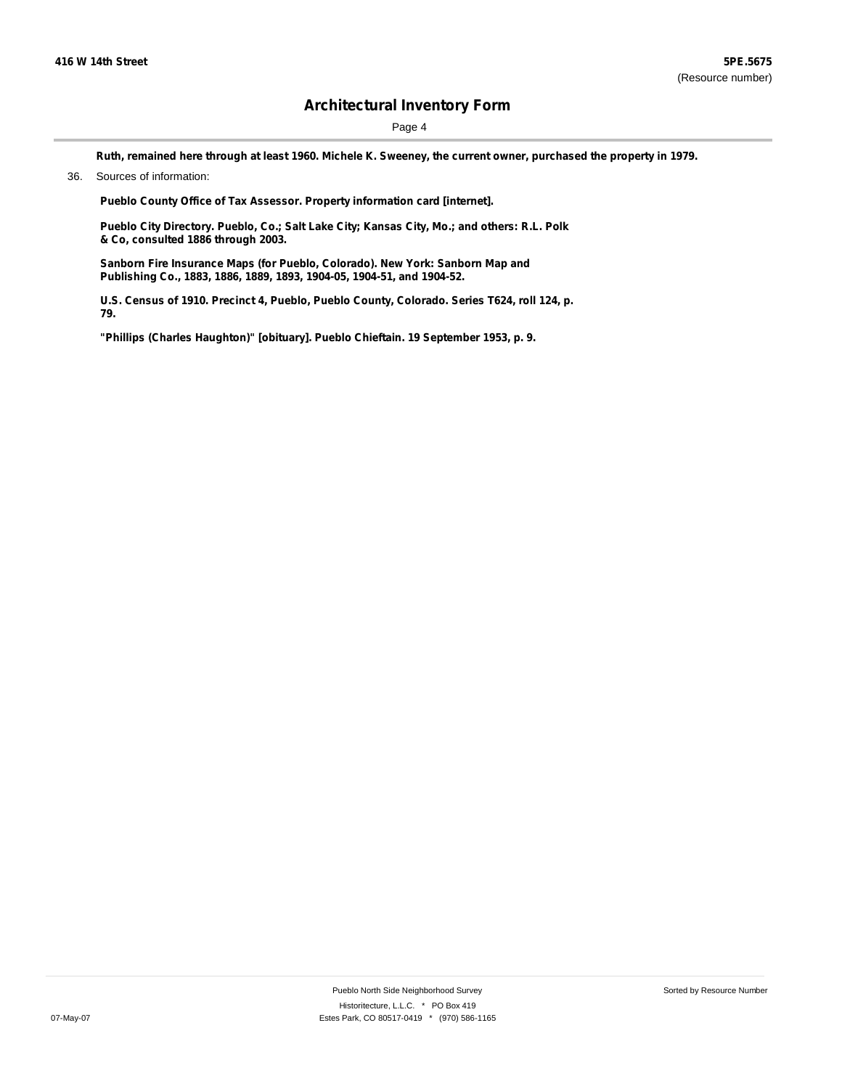Page 4

Ruth, remained here through at least 1960. Michele K. Sweeney, the current owner, purchased the property in 1979.

36. Sources of information:

**Pueblo County Office of Tax Assessor. Property information card [internet].**

**Pueblo City Directory. Pueblo, Co.; Salt Lake City; Kansas City, Mo.; and others: R.L. Polk & Co, consulted 1886 through 2003.**

**Sanborn Fire Insurance Maps (for Pueblo, Colorado). New York: Sanborn Map and Publishing Co., 1883, 1886, 1889, 1893, 1904-05, 1904-51, and 1904-52.**

**U.S. Census of 1910. Precinct 4, Pueblo, Pueblo County, Colorado. Series T624, roll 124, p. 79.**

**"Phillips (Charles Haughton)" [obituary]. Pueblo Chieftain. 19 September 1953, p. 9.**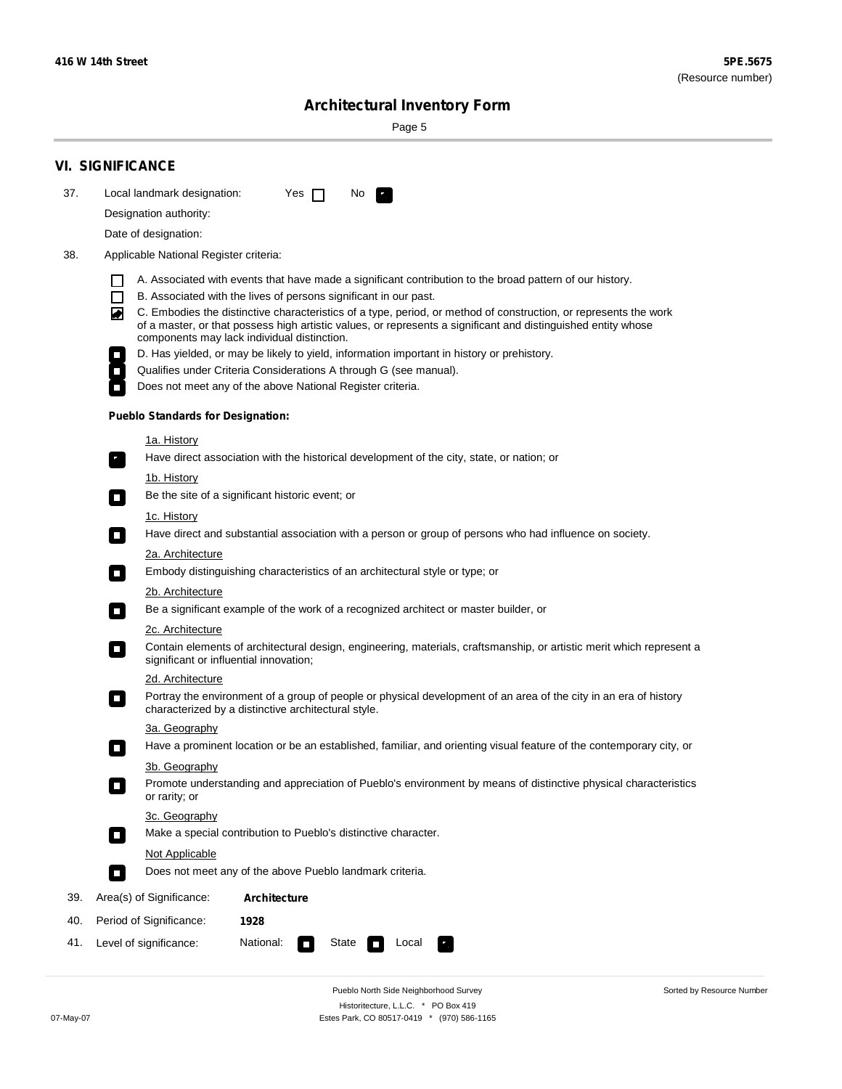$\sim$ 

Sorted by Resource Number

# **Architectural Inventory Form**

Page 5

|     | <b>VI. SIGNIFICANCE</b>                                                                                                                                                                                                                                                          |  |  |  |  |  |  |  |
|-----|----------------------------------------------------------------------------------------------------------------------------------------------------------------------------------------------------------------------------------------------------------------------------------|--|--|--|--|--|--|--|
| 37. | Local landmark designation:<br>Yes $\Box$<br>No.<br>$\mathbf{F}$                                                                                                                                                                                                                 |  |  |  |  |  |  |  |
|     | Designation authority:                                                                                                                                                                                                                                                           |  |  |  |  |  |  |  |
|     | Date of designation:                                                                                                                                                                                                                                                             |  |  |  |  |  |  |  |
| 38. | Applicable National Register criteria:                                                                                                                                                                                                                                           |  |  |  |  |  |  |  |
|     | A. Associated with events that have made a significant contribution to the broad pattern of our history.                                                                                                                                                                         |  |  |  |  |  |  |  |
|     | $\Box$<br>B. Associated with the lives of persons significant in our past.                                                                                                                                                                                                       |  |  |  |  |  |  |  |
|     | C. Embodies the distinctive characteristics of a type, period, or method of construction, or represents the work<br>of a master, or that possess high artistic values, or represents a significant and distinguished entity whose<br>components may lack individual distinction. |  |  |  |  |  |  |  |
|     | D. Has yielded, or may be likely to yield, information important in history or prehistory.                                                                                                                                                                                       |  |  |  |  |  |  |  |
|     | Qualifies under Criteria Considerations A through G (see manual).                                                                                                                                                                                                                |  |  |  |  |  |  |  |
|     | Does not meet any of the above National Register criteria.                                                                                                                                                                                                                       |  |  |  |  |  |  |  |
|     | <b>Pueblo Standards for Designation:</b>                                                                                                                                                                                                                                         |  |  |  |  |  |  |  |
|     | <u>1a. History</u>                                                                                                                                                                                                                                                               |  |  |  |  |  |  |  |
|     | Have direct association with the historical development of the city, state, or nation; or<br>$\overline{\phantom{a}}$ .                                                                                                                                                          |  |  |  |  |  |  |  |
|     | <u>1b. History</u>                                                                                                                                                                                                                                                               |  |  |  |  |  |  |  |
|     | Be the site of a significant historic event; or<br>$\Box$                                                                                                                                                                                                                        |  |  |  |  |  |  |  |
|     | 1c. History                                                                                                                                                                                                                                                                      |  |  |  |  |  |  |  |
|     | Have direct and substantial association with a person or group of persons who had influence on society.<br>$\Box$                                                                                                                                                                |  |  |  |  |  |  |  |
|     | 2a. Architecture                                                                                                                                                                                                                                                                 |  |  |  |  |  |  |  |
|     | Embody distinguishing characteristics of an architectural style or type; or<br>$\Box$                                                                                                                                                                                            |  |  |  |  |  |  |  |
|     | 2b. Architecture                                                                                                                                                                                                                                                                 |  |  |  |  |  |  |  |
|     | Be a significant example of the work of a recognized architect or master builder, or<br>$\mathcal{L}_{\mathcal{A}}$                                                                                                                                                              |  |  |  |  |  |  |  |
|     | 2c. Architecture                                                                                                                                                                                                                                                                 |  |  |  |  |  |  |  |
|     | Contain elements of architectural design, engineering, materials, craftsmanship, or artistic merit which represent a<br>О<br>significant or influential innovation;                                                                                                              |  |  |  |  |  |  |  |
|     | 2d. Architecture                                                                                                                                                                                                                                                                 |  |  |  |  |  |  |  |
|     | Portray the environment of a group of people or physical development of an area of the city in an era of history<br>О<br>characterized by a distinctive architectural style.                                                                                                     |  |  |  |  |  |  |  |
|     | 3a. Geography                                                                                                                                                                                                                                                                    |  |  |  |  |  |  |  |
|     | Have a prominent location or be an established, familiar, and orienting visual feature of the contemporary city, or                                                                                                                                                              |  |  |  |  |  |  |  |
|     | 3b. Geography<br>Promote understanding and appreciation of Pueblo's environment by means of distinctive physical characteristics<br>or rarity; or                                                                                                                                |  |  |  |  |  |  |  |
|     | 3c. Geography                                                                                                                                                                                                                                                                    |  |  |  |  |  |  |  |
|     | Make a special contribution to Pueblo's distinctive character.<br>$\Box$                                                                                                                                                                                                         |  |  |  |  |  |  |  |
|     | Not Applicable                                                                                                                                                                                                                                                                   |  |  |  |  |  |  |  |
|     | Does not meet any of the above Pueblo landmark criteria.<br>П                                                                                                                                                                                                                    |  |  |  |  |  |  |  |
| 39. | Area(s) of Significance:<br><b>Architecture</b>                                                                                                                                                                                                                                  |  |  |  |  |  |  |  |
| 40. | Period of Significance:<br>1928                                                                                                                                                                                                                                                  |  |  |  |  |  |  |  |
| 41. | National:<br>Level of significance:<br>Local<br>State<br>$\Box$                                                                                                                                                                                                                  |  |  |  |  |  |  |  |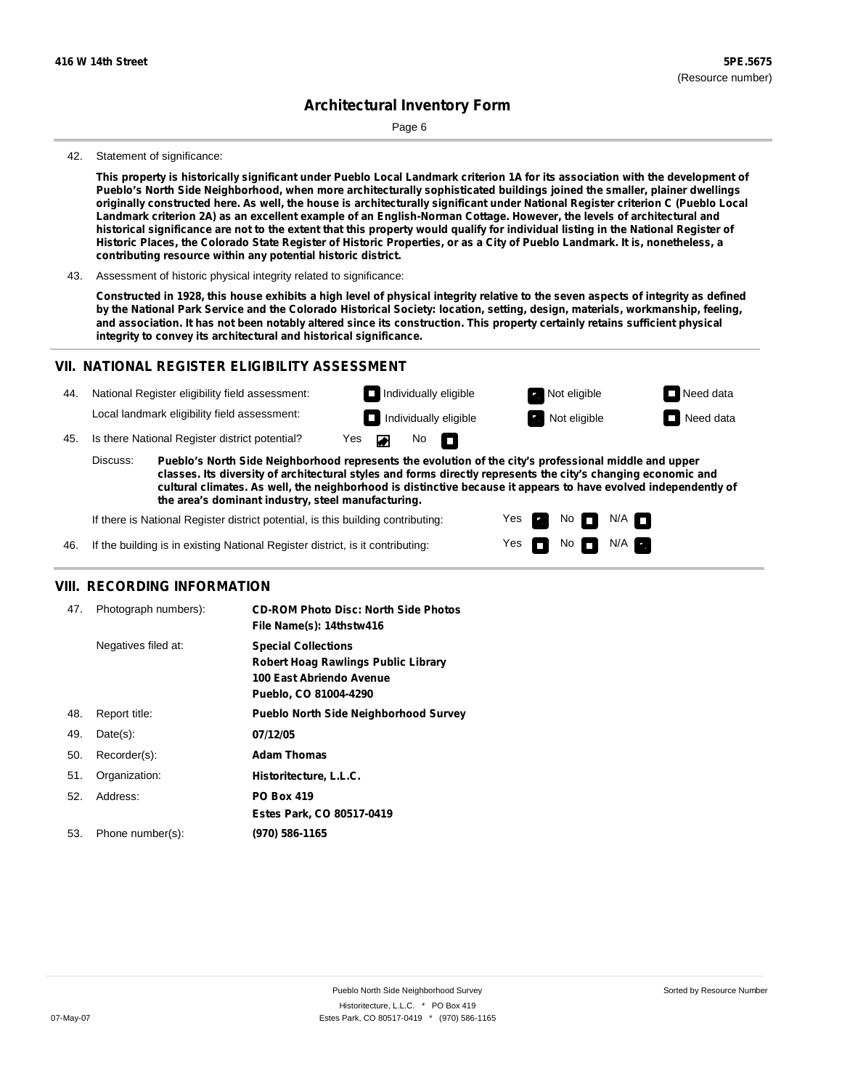Page 6

#### 42. Statement of significance:

This property is historically significant under Pueblo Local Landmark criterion 1A for its association with the development of **Pueblo's North Side Neighborhood, when more architecturally sophisticated buildings joined the smaller, plainer dwellings** originally constructed here. As well, the house is architecturally significant under National Register criterion C (Pueblo Local Landmark criterion 2A) as an excellent example of an English-Norman Cottage. However, the levels of architectural and historical significance are not to the extent that this property would qualify for individual listing in the National Register of Historic Places, the Colorado State Register of Historic Properties, or as a City of Pueblo Landmark. It is, nonetheless, a **contributing resource within any potential historic district.**

43. Assessment of historic physical integrity related to significance:

Constructed in 1928, this house exhibits a high level of physical integrity relative to the seven aspects of integrity as defined by the National Park Service and the Colorado Historical Society: location, setting, design, materials, workmanship, feeling, and association. It has not been notably altered since its construction. This property certainly retains sufficient physical **integrity to convey its architectural and historical significance.**

#### **VII. NATIONAL REGISTER ELIGIBILITY ASSESSMENT**



**classes. Its diversity of architectural styles and forms directly represents the city's changing economic and cultural climates. As well, the neighborhood is distinctive because it appears to have evolved independently of the area's dominant industry, steel manufacturing.**

> Yes Yes

No **DI**N/A No  $\blacksquare$  N/A  $\blacksquare$ 

If there is National Register district potential, is this building contributing:

If the building is in existing National Register district, is it contributing: 46.

#### **VIII. RECORDING INFORMATION**

| 47. | Photograph numbers): | <b>CD-ROM Photo Disc: North Side Photos</b><br>File Name(s): 14thstw416                                                       |
|-----|----------------------|-------------------------------------------------------------------------------------------------------------------------------|
|     | Negatives filed at:  | <b>Special Collections</b><br><b>Robert Hoag Rawlings Public Library</b><br>100 East Abriendo Avenue<br>Pueblo, CO 81004-4290 |
| 48. | Report title:        | <b>Pueblo North Side Neighborhood Survey</b>                                                                                  |
| 49. | $Date(s)$ :          | 07/12/05                                                                                                                      |
| 50. | Recorder(s):         | <b>Adam Thomas</b>                                                                                                            |
| 51. | Organization:        | Historitecture, L.L.C.                                                                                                        |
| 52. | Address:             | <b>PO Box 419</b>                                                                                                             |
|     |                      | Estes Park, CO 80517-0419                                                                                                     |
| 53. | Phone number(s):     | (970) 586-1165                                                                                                                |
|     |                      |                                                                                                                               |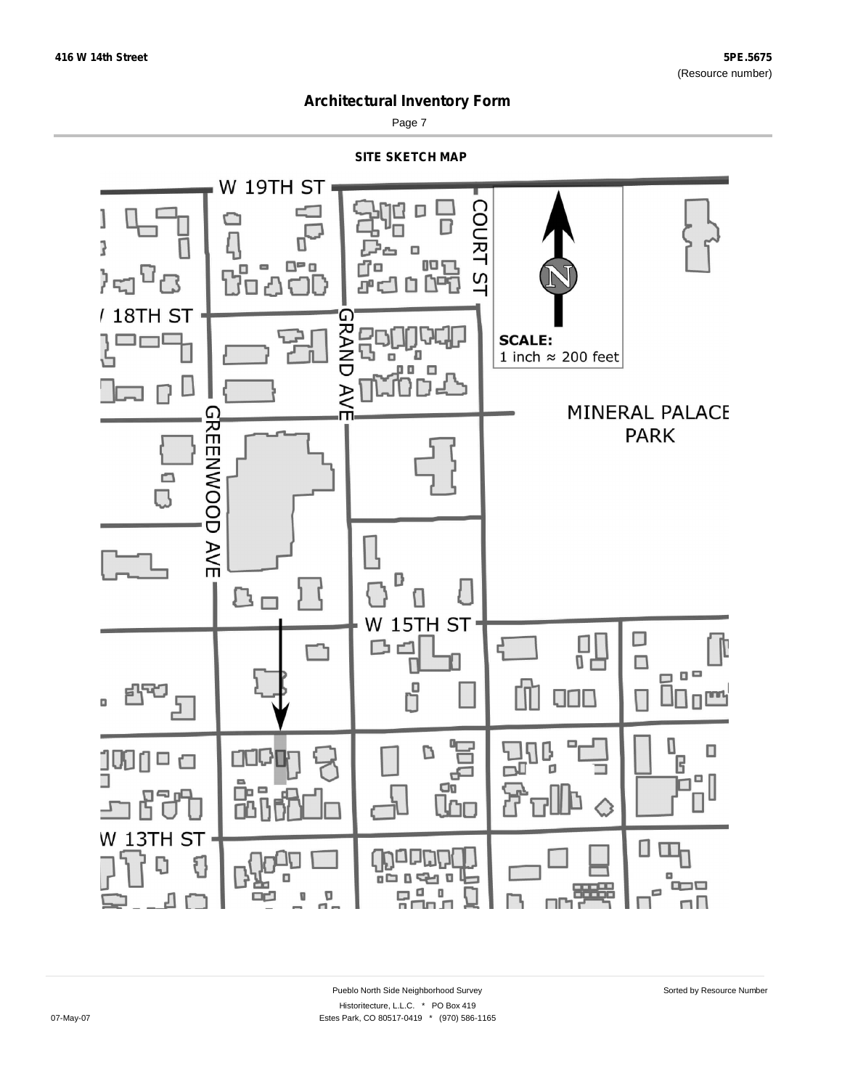

Page 7